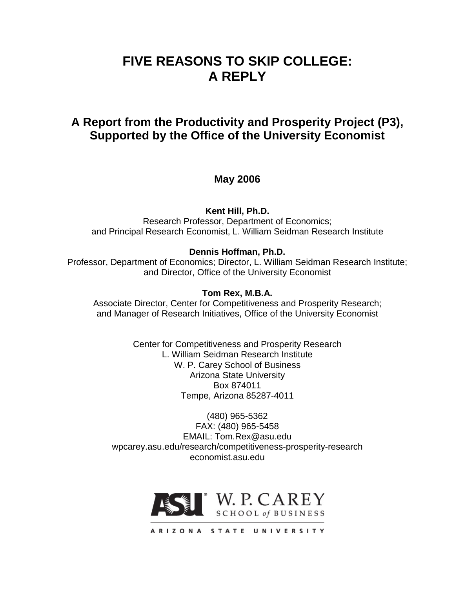# **FIVE REASONS TO SKIP COLLEGE: A REPLY**

## **A Report from the Productivity and Prosperity Project (P3), Supported by the Office of the University Economist**

## **May 2006**

**Kent Hill, Ph.D.**

Research Professor, Department of Economics; and Principal Research Economist, L. William Seidman Research Institute

#### **Dennis Hoffman, Ph.D.**

Professor, Department of Economics; Director, L. William Seidman Research Institute; and Director, Office of the University Economist

#### **Tom Rex, M.B.A.**

Associate Director, Center for Competitiveness and Prosperity Research; and Manager of Research Initiatives, Office of the University Economist

> Center for Competitiveness and Prosperity Research L. William Seidman Research Institute W. P. Carey School of Business Arizona State University Box 874011 Tempe, Arizona 85287-4011

(480) 965-5362 FAX: (480) 965-5458 EMAIL: Tom.Rex@asu.edu wpcarey.asu.edu/research/competitiveness-prosperity-research economist.asu.edu

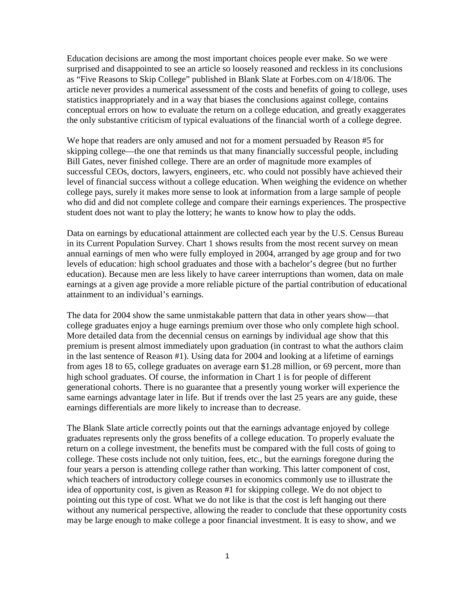Education decisions are among the most important choices people ever make. So we were surprised and disappointed to see an article so loosely reasoned and reckless in its conclusions as "Five Reasons to Skip College" published in Blank Slate at Forbes.com on 4/18/06. The article never provides a numerical assessment of the costs and benefits of going to college, uses statistics inappropriately and in a way that biases the conclusions against college, contains conceptual errors on how to evaluate the return on a college education, and greatly exaggerates the only substantive criticism of typical evaluations of the financial worth of a college degree.

We hope that readers are only amused and not for a moment persuaded by Reason #5 for skipping college—the one that reminds us that many financially successful people, including Bill Gates, never finished college. There are an order of magnitude more examples of successful CEOs, doctors, lawyers, engineers, etc. who could not possibly have achieved their level of financial success without a college education. When weighing the evidence on whether college pays, surely it makes more sense to look at information from a large sample of people who did and did not complete college and compare their earnings experiences. The prospective student does not want to play the lottery; he wants to know how to play the odds.

Data on earnings by educational attainment are collected each year by the U.S. Census Bureau in its Current Population Survey. Chart 1 shows results from the most recent survey on mean annual earnings of men who were fully employed in 2004, arranged by age group and for two levels of education: high school graduates and those with a bachelor's degree (but no further education). Because men are less likely to have career interruptions than women, data on male earnings at a given age provide a more reliable picture of the partial contribution of educational attainment to an individual's earnings.

The data for 2004 show the same unmistakable pattern that data in other years show—that college graduates enjoy a huge earnings premium over those who only complete high school. More detailed data from the decennial census on earnings by individual age show that this premium is present almost immediately upon graduation (in contrast to what the authors claim in the last sentence of Reason #1). Using data for 2004 and looking at a lifetime of earnings from ages 18 to 65, college graduates on average earn \$1.28 million, or 69 percent, more than high school graduates. Of course, the information in Chart 1 is for people of different generational cohorts. There is no guarantee that a presently young worker will experience the same earnings advantage later in life. But if trends over the last 25 years are any guide, these earnings differentials are more likely to increase than to decrease.

The Blank Slate article correctly points out that the earnings advantage enjoyed by college graduates represents only the gross benefits of a college education. To properly evaluate the return on a college investment, the benefits must be compared with the full costs of going to college. These costs include not only tuition, fees, etc., but the earnings foregone during the four years a person is attending college rather than working. This latter component of cost, which teachers of introductory college courses in economics commonly use to illustrate the idea of opportunity cost, is given as Reason #1 for skipping college. We do not object to pointing out this type of cost. What we do not like is that the cost is left hanging out there without any numerical perspective, allowing the reader to conclude that these opportunity costs may be large enough to make college a poor financial investment. It is easy to show, and we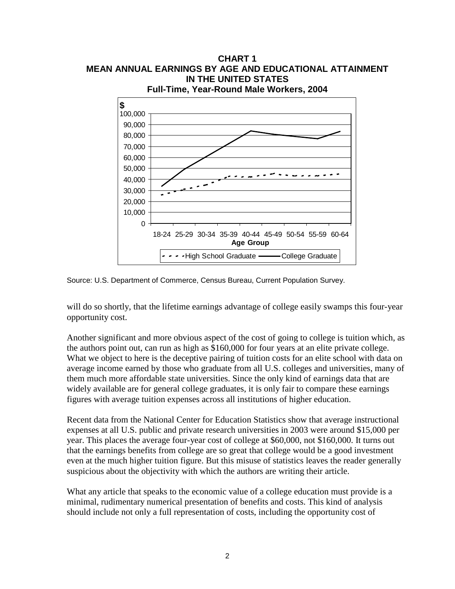

Source: U.S. Department of Commerce, Census Bureau, Current Population Survey.

will do so shortly, that the lifetime earnings advantage of college easily swamps this four-year opportunity cost.

Another significant and more obvious aspect of the cost of going to college is tuition which, as the authors point out, can run as high as \$160,000 for four years at an elite private college. What we object to here is the deceptive pairing of tuition costs for an elite school with data on average income earned by those who graduate from all U.S. colleges and universities, many of them much more affordable state universities. Since the only kind of earnings data that are widely available are for general college graduates, it is only fair to compare these earnings figures with average tuition expenses across all institutions of higher education.

Recent data from the National Center for Education Statistics show that average instructional expenses at all U.S. public and private research universities in 2003 were around \$15,000 per year. This places the average four-year cost of college at \$60,000, not \$160,000. It turns out that the earnings benefits from college are so great that college would be a good investment even at the much higher tuition figure. But this misuse of statistics leaves the reader generally suspicious about the objectivity with which the authors are writing their article.

What any article that speaks to the economic value of a college education must provide is a minimal, rudimentary numerical presentation of benefits and costs. This kind of analysis should include not only a full representation of costs, including the opportunity cost of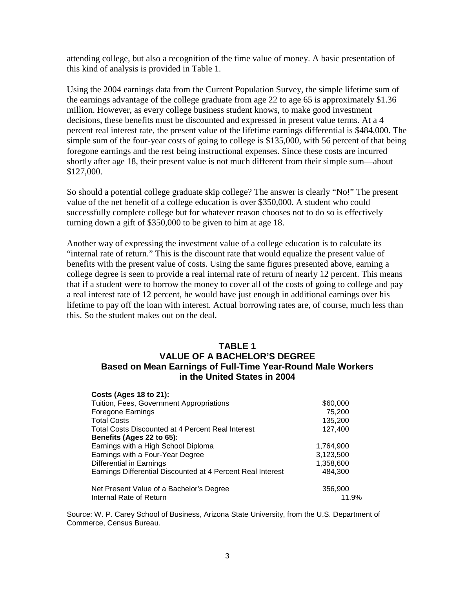attending college, but also a recognition of the time value of money. A basic presentation of this kind of analysis is provided in Table 1.

Using the 2004 earnings data from the Current Population Survey, the simple lifetime sum of the earnings advantage of the college graduate from age 22 to age 65 is approximately \$1.36 million. However, as every college business student knows, to make good investment decisions, these benefits must be discounted and expressed in present value terms. At a 4 percent real interest rate, the present value of the lifetime earnings differential is \$484,000. The simple sum of the four-year costs of going to college is \$135,000, with 56 percent of that being foregone earnings and the rest being instructional expenses. Since these costs are incurred shortly after age 18, their present value is not much different from their simple sum—about \$127,000.

So should a potential college graduate skip college? The answer is clearly "No!" The present value of the net benefit of a college education is over \$350,000. A student who could successfully complete college but for whatever reason chooses not to do so is effectively turning down a gift of \$350,000 to be given to him at age 18.

Another way of expressing the investment value of a college education is to calculate its "internal rate of return." This is the discount rate that would equalize the present value of benefits with the present value of costs. Using the same figures presented above, earning a college degree is seen to provide a real internal rate of return of nearly 12 percent. This means that if a student were to borrow the money to cover all of the costs of going to college and pay a real interest rate of 12 percent, he would have just enough in additional earnings over his lifetime to pay off the loan with interest. Actual borrowing rates are, of course, much less than this. So the student makes out on the deal.

#### **TABLE 1**

### **VALUE OF A BACHELOR'S DEGREE Based on Mean Earnings of Full-Time Year-Round Male Workers in the United States in 2004**

| <b>Costs (Ages 18 to 21):</b>                               |           |
|-------------------------------------------------------------|-----------|
| Tuition, Fees, Government Appropriations                    | \$60,000  |
| Foregone Earnings                                           | 75,200    |
| <b>Total Costs</b>                                          | 135,200   |
| Total Costs Discounted at 4 Percent Real Interest           | 127,400   |
| Benefits (Ages 22 to 65):                                   |           |
| Earnings with a High School Diploma                         | 1,764,900 |
| Earnings with a Four-Year Degree                            | 3,123,500 |
| Differential in Earnings                                    | 1,358,600 |
| Earnings Differential Discounted at 4 Percent Real Interest | 484,300   |
| Net Present Value of a Bachelor's Degree                    | 356,900   |
| Internal Rate of Return                                     | 11.9%     |

Source: W. P. Carey School of Business, Arizona State University, from the U.S. Department of Commerce, Census Bureau.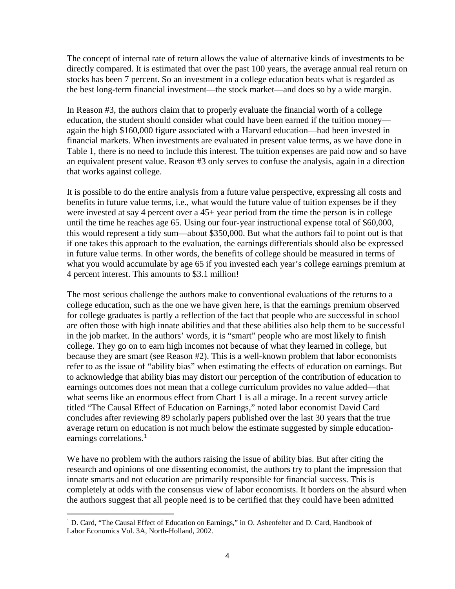The concept of internal rate of return allows the value of alternative kinds of investments to be directly compared. It is estimated that over the past 100 years, the average annual real return on stocks has been 7 percent. So an investment in a college education beats what is regarded as the best long-term financial investment—the stock market—and does so by a wide margin.

In Reason #3, the authors claim that to properly evaluate the financial worth of a college education, the student should consider what could have been earned if the tuition money again the high \$160,000 figure associated with a Harvard education—had been invested in financial markets. When investments are evaluated in present value terms, as we have done in Table 1, there is no need to include this interest. The tuition expenses are paid now and so have an equivalent present value. Reason #3 only serves to confuse the analysis, again in a direction that works against college.

It is possible to do the entire analysis from a future value perspective, expressing all costs and benefits in future value terms, i.e., what would the future value of tuition expenses be if they were invested at say 4 percent over a 45+ year period from the time the person is in college until the time he reaches age 65. Using our four-year instructional expense total of \$60,000, this would represent a tidy sum—about \$350,000. But what the authors fail to point out is that if one takes this approach to the evaluation, the earnings differentials should also be expressed in future value terms. In other words, the benefits of college should be measured in terms of what you would accumulate by age 65 if you invested each year's college earnings premium at 4 percent interest. This amounts to \$3.1 million!

The most serious challenge the authors make to conventional evaluations of the returns to a college education, such as the one we have given here, is that the earnings premium observed for college graduates is partly a reflection of the fact that people who are successful in school are often those with high innate abilities and that these abilities also help them to be successful in the job market. In the authors' words, it is "smart" people who are most likely to finish college. They go on to earn high incomes not because of what they learned in college, but because they are smart (see Reason #2). This is a well-known problem that labor economists refer to as the issue of "ability bias" when estimating the effects of education on earnings. But to acknowledge that ability bias may distort our perception of the contribution of education to earnings outcomes does not mean that a college curriculum provides no value added—that what seems like an enormous effect from Chart 1 is all a mirage. In a recent survey article titled "The Causal Effect of Education on Earnings," noted labor economist David Card concludes after reviewing 89 scholarly papers published over the last 30 years that the true average return on education is not much below the estimate suggested by simple education-earnings correlations.<sup>[1](#page-4-0)</sup>

We have no problem with the authors raising the issue of ability bias. But after citing the research and opinions of one dissenting economist, the authors try to plant the impression that innate smarts and not education are primarily responsible for financial success. This is completely at odds with the consensus view of labor economists. It borders on the absurd when the authors suggest that all people need is to be certified that they could have been admitted

<span id="page-4-0"></span><sup>&</sup>lt;sup>1</sup> D. Card, "The Causal Effect of Education on Earnings," in O. Ashenfelter and D. Card, Handbook of Labor Economics Vol. 3A, North-Holland, 2002.  $\overline{a}$